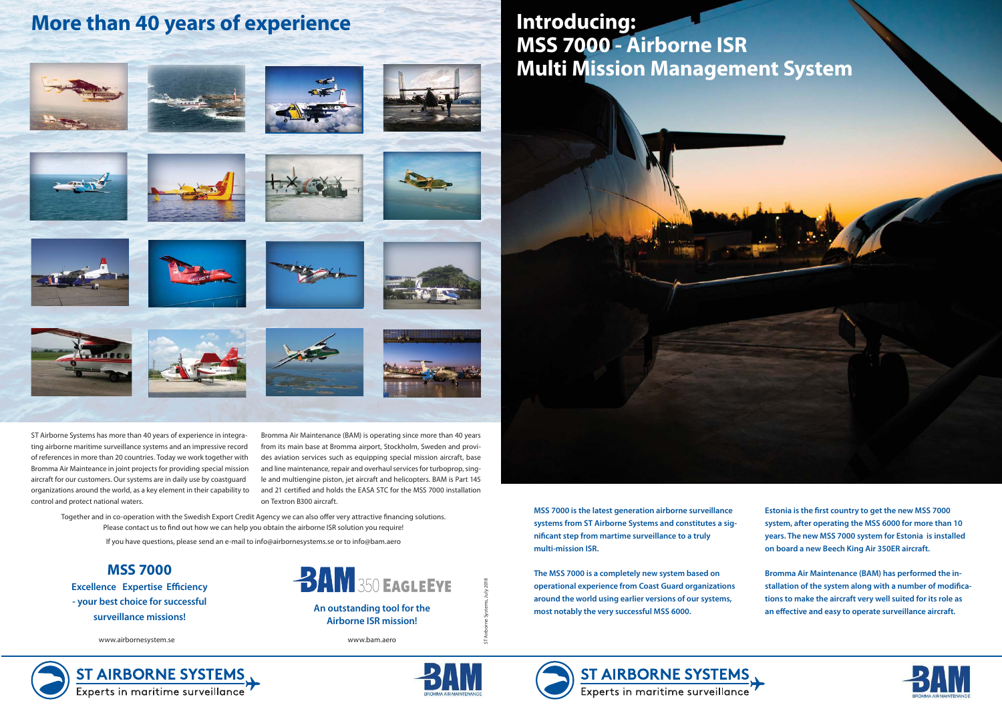**An outstanding tool for the Airborne ISR mission!**



**MSS 7000**

**Excellence Expertise Efficiency - your best choice for successful surveillance missions!**

ST Airborne Systems, July 2018

## **More than 40 years of experience**



















**The MSS 7000 is a completely new system based on operational experience from Coast Guard organizations around the world using earlier versions of our systems, most notably the very successful MSS 6000.**





**Bromma Air Maintenance (BAM) has performed the installation of the system along with a number of modifications to make the aircraft very well suited for its role as an effective and easy to operate surveillance aircraft.** 





## **Introducing: MSS 7000 - Airborne ISR Multi Mission Management System**

ST Airborne Systems has more than 40 years of experience in integrating airborne maritime surveillance systems and an impressive record of references in more than 20 countries. Today we work together with Bromma Air Mainteance in joint projects for providing special mission aircraft for our customers. Our systems are in daily use by coastguard organizations around the world, as a key element in their capability to control and protect national waters.

Bromma Air Maintenance (BAM) is operating since more than 40 years from its main base at Bromma airport, Stockholm, Sweden and provides aviation services such as equipping special mission aircraft, base and line maintenance, repair and overhaul services for turboprop, single and multiengine piston, jet aircraft and helicopters. BAM is Part 145 and 21 certified and holds the EASA STC for the MSS 7000 installation on Textron B300 aircraft.

www.airbornesystem.se www.bam.aero



ST AIRBORNE SYSTEMS



Together and in co-operation with the Swedish Export Credit Agency we can also offer very attractive financing solutions. Please contact us to find out how we can help you obtain the airborne ISR solution you require!

If you have questions, please send an e-mail to info@airbornesystems.se or to info@bam.aero